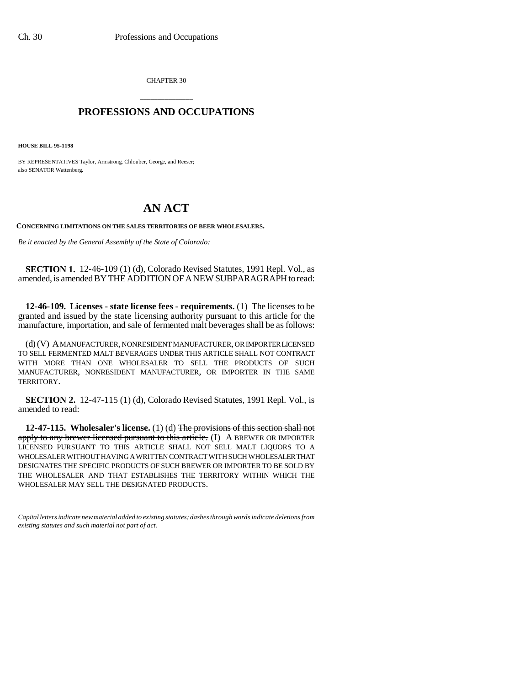CHAPTER 30

## \_\_\_\_\_\_\_\_\_\_\_\_\_\_\_ **PROFESSIONS AND OCCUPATIONS** \_\_\_\_\_\_\_\_\_\_\_\_\_\_\_

**HOUSE BILL 95-1198**

BY REPRESENTATIVES Taylor, Armstrong, Chlouber, George, and Reeser; also SENATOR Wattenberg.

## **AN ACT**

**CONCERNING LIMITATIONS ON THE SALES TERRITORIES OF BEER WHOLESALERS.**

*Be it enacted by the General Assembly of the State of Colorado:*

**SECTION 1.** 12-46-109 (1) (d), Colorado Revised Statutes, 1991 Repl. Vol., as amended, is amended BY THE ADDITION OF A NEW SUBPARAGRAPH to read:

**12-46-109. Licenses - state license fees - requirements.** (1) The licenses to be granted and issued by the state licensing authority pursuant to this article for the manufacture, importation, and sale of fermented malt beverages shall be as follows:

(d) (V) A MANUFACTURER, NONRESIDENT MANUFACTURER, OR IMPORTER LICENSED TO SELL FERMENTED MALT BEVERAGES UNDER THIS ARTICLE SHALL NOT CONTRACT WITH MORE THAN ONE WHOLESALER TO SELL THE PRODUCTS OF SUCH MANUFACTURER, NONRESIDENT MANUFACTURER, OR IMPORTER IN THE SAME TERRITORY.

**SECTION 2.** 12-47-115 (1) (d), Colorado Revised Statutes, 1991 Repl. Vol., is amended to read:

apply to any bit were intensed pursuant to this article. (1) A BREWER OR INFORTER<br>LICENSED PURSUANT TO THIS ARTICLE SHALL NOT SELL MALT LIQUORS TO A **12-47-115. Wholesaler's license.** (1) (d) The provisions of this section shall not apply to any brewer licensed pursuant to this article. (I) A BREWER OR IMPORTER WHOLESALER WITHOUT HAVING A WRITTEN CONTRACT WITH SUCH WHOLESALER THAT DESIGNATES THE SPECIFIC PRODUCTS OF SUCH BREWER OR IMPORTER TO BE SOLD BY THE WHOLESALER AND THAT ESTABLISHES THE TERRITORY WITHIN WHICH THE WHOLESALER MAY SELL THE DESIGNATED PRODUCTS.

*Capital letters indicate new material added to existing statutes; dashes through words indicate deletions from existing statutes and such material not part of act.*